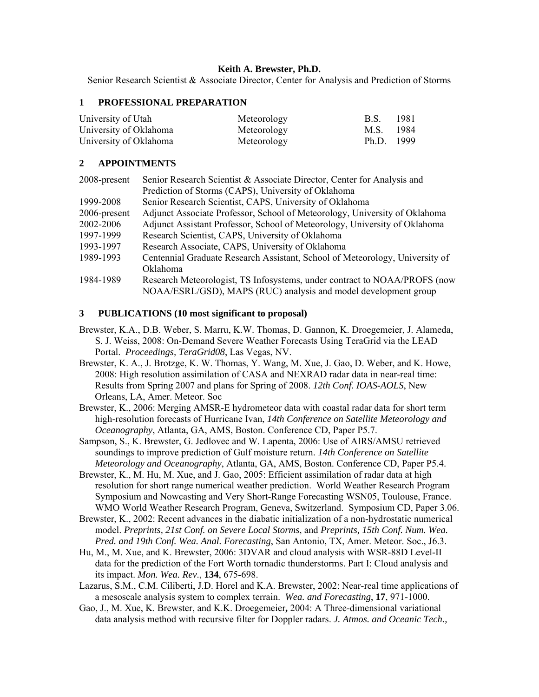### **Keith A. Brewster, Ph.D.**

Senior Research Scientist & Associate Director, Center for Analysis and Prediction of Storms

#### **1 PROFESSIONAL PREPARATION**

| University of Utah     | Meteorology | B.S.         | -1981  |
|------------------------|-------------|--------------|--------|
| University of Oklahoma | Meteorology | M.S.         | - 1984 |
| University of Oklahoma | Meteorology | $Ph.D.$ 1999 |        |

### **2 APPOINTMENTS**

| 2008-present | Senior Research Scientist & Associate Director, Center for Analysis and      |  |
|--------------|------------------------------------------------------------------------------|--|
|              | Prediction of Storms (CAPS), University of Oklahoma                          |  |
| 1999-2008    | Senior Research Scientist, CAPS, University of Oklahoma                      |  |
| 2006-present | Adjunct Associate Professor, School of Meteorology, University of Oklahoma   |  |
| 2002-2006    | Adjunct Assistant Professor, School of Meteorology, University of Oklahoma   |  |
| 1997-1999    | Research Scientist, CAPS, University of Oklahoma                             |  |
| 1993-1997    | Research Associate, CAPS, University of Oklahoma                             |  |
| 1989-1993    | Centennial Graduate Research Assistant, School of Meteorology, University of |  |
|              | <b>Oklahoma</b>                                                              |  |
| 1984-1989    | Research Meteorologist, TS Infosystems, under contract to NOAA/PROFS (now    |  |
|              | NOAA/ESRL/GSD), MAPS (RUC) analysis and model development group              |  |

#### **3 PUBLICATIONS (10 most significant to proposal)**

- Brewster, K.A., D.B. Weber, S. Marru, K.W. Thomas, D. Gannon, K. Droegemeier, J. Alameda, S. J. Weiss, 2008: On-Demand Severe Weather Forecasts Using TeraGrid via the LEAD Portal. *Proceedings, TeraGrid08*, Las Vegas, NV.
- Brewster, K. A., J. Brotzge, K. W. Thomas, Y. Wang, M. Xue, J. Gao, D. Weber, and K. Howe, 2008: High resolution assimilation of CASA and NEXRAD radar data in near-real time: Results from Spring 2007 and plans for Spring of 2008. *12th Conf. IOAS-AOLS*, New Orleans, LA, Amer. Meteor. Soc
- Brewster, K., 2006: Merging AMSR-E hydrometeor data with coastal radar data for short term high-resolution forecasts of Hurricane Ivan, *14th Conference on Satellite Meteorology and Oceanography*, Atlanta, GA, AMS, Boston. Conference CD, Paper P5.7.
- Sampson, S., K. Brewster, G. Jedlovec and W. Lapenta, 2006: Use of AIRS/AMSU retrieved soundings to improve prediction of Gulf moisture return. *14th Conference on Satellite Meteorology and Oceanography*, Atlanta, GA, AMS, Boston. Conference CD, Paper P5.4.
- Brewster, K., M. Hu, M. Xue, and J. Gao, 2005: Efficient assimilation of radar data at high resolution for short range numerical weather prediction. World Weather Research Program Symposium and Nowcasting and Very Short-Range Forecasting WSN05, Toulouse, France. WMO World Weather Research Program, Geneva, Switzerland. Symposium CD, Paper 3.06.
- Brewster, K., 2002: Recent advances in the diabatic initialization of a non-hydrostatic numerical model. *Preprints, 21st Conf. on Severe Local Storms*, and *Preprints, 15th Conf. Num. Wea. Pred. and 19th Conf. Wea. Anal. Forecasting*, San Antonio, TX, Amer. Meteor. Soc., J6.3.
- Hu, M., M. Xue, and K. Brewster, 2006: 3DVAR and cloud analysis with WSR-88D Level-II data for the prediction of the Fort Worth tornadic thunderstorms. Part I: Cloud analysis and its impact. *Mon. Wea. Rev*., **134**, 675-698.
- Lazarus, S.M., C.M. Ciliberti, J.D. Horel and K.A. Brewster, 2002: Near-real time applications of a mesoscale analysis system to complex terrain. *Wea. and Forecasting*, **17**, 971-1000.
- Gao, J., M. Xue, K. Brewster, and K.K. Droegemeier**,** 2004: A Three-dimensional variational data analysis method with recursive filter for Doppler radars. *J. Atmos. and Oceanic Tech.,*